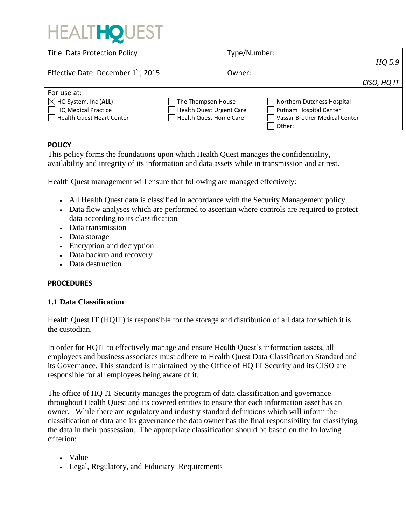# **HEALTHOUEST**

| <b>Title: Data Protection Policy</b>            |                                 | Type/Number: |                               |             |
|-------------------------------------------------|---------------------------------|--------------|-------------------------------|-------------|
|                                                 |                                 |              |                               | HQ 5.9      |
| Effective Date: December 1 <sup>st</sup> , 2015 |                                 | Owner:       |                               |             |
|                                                 |                                 |              |                               | CISO, HQ IT |
| For use at:                                     |                                 |              |                               |             |
| $\boxtimes$ HQ System, Inc (ALL)                | The Thompson House              |              | Northern Dutchess Hospital    |             |
| HQ Medical Practice                             | <b>Health Quest Urgent Care</b> |              | Putnam Hospital Center        |             |
| Health Quest Heart Center                       | Health Quest Home Care          |              | Vassar Brother Medical Center |             |
|                                                 |                                 |              | l Other:                      |             |

#### **POLICY**

This policy forms the foundations upon which Health Quest manages the confidentiality, availability and integrity of its information and data assets while in transmission and at rest.

Health Quest management will ensure that following are managed effectively:

- All Health Quest data is classified in accordance with the Security Management policy
- Data flow analyses which are performed to ascertain where controls are required to protect data according to its classification
- Data transmission
- Data storage
- Encryption and decryption
- Data backup and recovery
- Data destruction

#### **PROCEDURES**

#### **1.1 Data Classification**

Health Quest IT (HQIT) is responsible for the storage and distribution of all data for which it is the custodian.

In order for HQIT to effectively manage and ensure Health Quest's information assets, all employees and business associates must adhere to Health Quest Data Classification Standard and its Governance. This standard is maintained by the Office of HQ IT Security and its CISO are responsible for all employees being aware of it.

The office of HQ IT Security manages the program of data classification and governance throughout Health Quest and its covered entities to ensure that each information asset has an owner. While there are regulatory and industry standard definitions which will inform the classification of data and its governance the data owner has the final responsibility for classifying the data in their possession. The appropriate classification should be based on the following criterion:

- Value
- Legal, Regulatory, and Fiduciary Requirements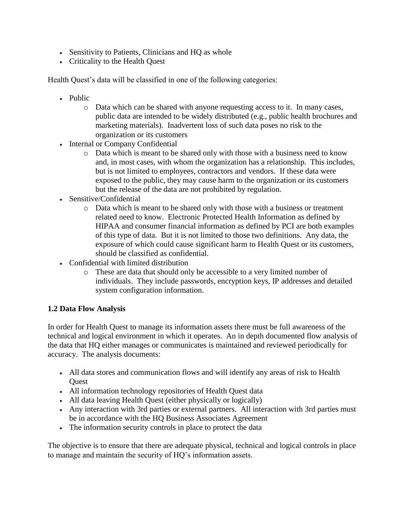- Sensitivity to Patients, Clinicians and HQ as whole
- Criticality to the Health Quest

Health Quest's data will be classified in one of the following categories:

- Public
	- o Data which can be shared with anyone requesting access to it. In many cases, public data are intended to be widely distributed (e.g., public health brochures and marketing materials). Inadvertent loss of such data poses no risk to the organization or its customers
- Internal or Company Confidential
	- o Data which is meant to be shared only with those with a business need to know and, in most cases, with whom the organization has a relationship. This includes, but is not limited to employees, contractors and vendors. If these data were exposed to the public, they may cause harm to the organization or its customers but the release of the data are not prohibited by regulation.
- Sensitive/Confidential
	- o Data which is meant to be shared only with those with a business or treatment related need to know. Electronic Protected Health Information as defined by HIPAA and consumer financial information as defined by PCI are both examples of this type of data. But it is not limited to those two definitions. Any data, the exposure of which could cause significant harm to Health Quest or its customers, should be classified as confidential.
- Confidential with limited distribution
	- o These are data that should only be accessible to a very limited number of individuals. They include passwords, encryption keys, IP addresses and detailed system configuration information.

#### **1.2 Data Flow Analysis**

In order for Health Quest to manage its information assets there must be full awareness of the technical and logical environment in which it operates. An in depth documented flow analysis of the data that HQ either manages or communicates is maintained and reviewed periodically for accuracy. The analysis documents:

- All data stores and communication flows and will identify any areas of risk to Health **Quest**
- All information technology repositories of Health Quest data
- All data leaving Health Quest (either physically or logically)
- Any interaction with 3rd parties or external partners. All interaction with 3rd parties must be in accordance with the HQ Business Associates Agreement
- The information security controls in place to protect the data

The objective is to ensure that there are adequate physical, technical and logical controls in place to manage and maintain the security of HQ's information assets.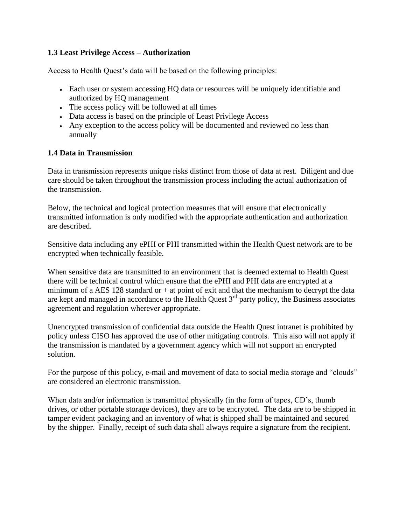## **1.3 Least Privilege Access – Authorization**

Access to Health Quest's data will be based on the following principles:

- Each user or system accessing HQ data or resources will be uniquely identifiable and authorized by HQ management
- The access policy will be followed at all times
- Data access is based on the principle of Least Privilege Access
- Any exception to the access policy will be documented and reviewed no less than annually

#### **1.4 Data in Transmission**

Data in transmission represents unique risks distinct from those of data at rest. Diligent and due care should be taken throughout the transmission process including the actual authorization of the transmission.

Below, the technical and logical protection measures that will ensure that electronically transmitted information is only modified with the appropriate authentication and authorization are described.

Sensitive data including any ePHI or PHI transmitted within the Health Quest network are to be encrypted when technically feasible.

When sensitive data are transmitted to an environment that is deemed external to Health Quest there will be technical control which ensure that the ePHI and PHI data are encrypted at a minimum of a AES 128 standard or  $+$  at point of exit and that the mechanism to decrypt the data are kept and managed in accordance to the Health Quest  $3<sup>rd</sup>$  party policy, the Business associates agreement and regulation wherever appropriate.

Unencrypted transmission of confidential data outside the Health Quest intranet is prohibited by policy unless CISO has approved the use of other mitigating controls. This also will not apply if the transmission is mandated by a government agency which will not support an encrypted solution.

For the purpose of this policy, e-mail and movement of data to social media storage and "clouds" are considered an electronic transmission.

When data and/or information is transmitted physically (in the form of tapes, CD's, thumb drives, or other portable storage devices), they are to be encrypted. The data are to be shipped in tamper evident packaging and an inventory of what is shipped shall be maintained and secured by the shipper. Finally, receipt of such data shall always require a signature from the recipient.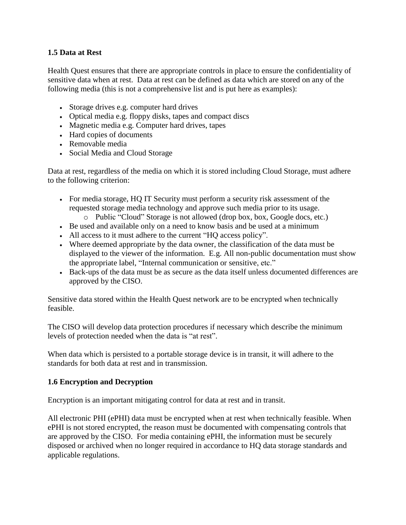### **1.5 Data at Rest**

Health Quest ensures that there are appropriate controls in place to ensure the confidentiality of sensitive data when at rest. Data at rest can be defined as data which are stored on any of the following media (this is not a comprehensive list and is put here as examples):

- Storage drives e.g. computer hard drives
- Optical media e.g. floppy disks, tapes and compact discs
- Magnetic media e.g. Computer hard drives, tapes
- Hard copies of documents
- Removable media
- Social Media and Cloud Storage

Data at rest, regardless of the media on which it is stored including Cloud Storage, must adhere to the following criterion:

- For media storage, HQ IT Security must perform a security risk assessment of the requested storage media technology and approve such media prior to its usage.
	- o Public "Cloud" Storage is not allowed (drop box, box, Google docs, etc.)
- Be used and available only on a need to know basis and be used at a minimum
- All access to it must adhere to the current "HQ access policy".
- Where deemed appropriate by the data owner, the classification of the data must be displayed to the viewer of the information. E.g. All non-public documentation must show the appropriate label, "Internal communication or sensitive, etc."
- Back-ups of the data must be as secure as the data itself unless documented differences are approved by the CISO.

Sensitive data stored within the Health Quest network are to be encrypted when technically feasible.

The CISO will develop data protection procedures if necessary which describe the minimum levels of protection needed when the data is "at rest".

When data which is persisted to a portable storage device is in transit, it will adhere to the standards for both data at rest and in transmission.

#### **1.6 Encryption and Decryption**

Encryption is an important mitigating control for data at rest and in transit.

All electronic PHI (ePHI) data must be encrypted when at rest when technically feasible. When ePHI is not stored encrypted, the reason must be documented with compensating controls that are approved by the CISO. For media containing ePHI, the information must be securely disposed or archived when no longer required in accordance to HQ data storage standards and applicable regulations.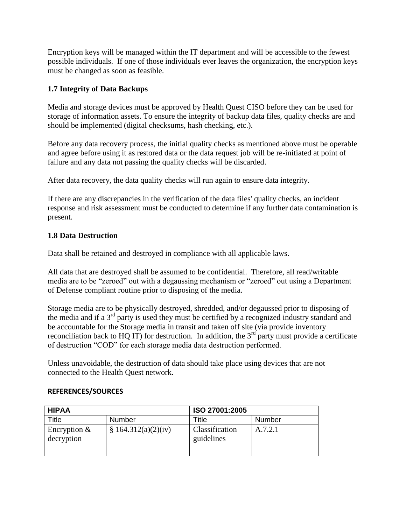Encryption keys will be managed within the IT department and will be accessible to the fewest possible individuals. If one of those individuals ever leaves the organization, the encryption keys must be changed as soon as feasible.

# **1.7 Integrity of Data Backups**

Media and storage devices must be approved by Health Quest CISO before they can be used for storage of information assets. To ensure the integrity of backup data files, quality checks are and should be implemented (digital checksums, hash checking, etc.).

Before any data recovery process, the initial quality checks as mentioned above must be operable and agree before using it as restored data or the data request job will be re-initiated at point of failure and any data not passing the quality checks will be discarded.

After data recovery, the data quality checks will run again to ensure data integrity.

If there are any discrepancies in the verification of the data files' quality checks, an incident response and risk assessment must be conducted to determine if any further data contamination is present.

## **1.8 Data Destruction**

Data shall be retained and destroyed in compliance with all applicable laws.

All data that are destroyed shall be assumed to be confidential. Therefore, all read/writable media are to be "zeroed" out with a degaussing mechanism or "zeroed" out using a Department of Defense compliant routine prior to disposing of the media.

Storage media are to be physically destroyed, shredded, and/or degaussed prior to disposing of the media and if a  $3<sup>rd</sup>$  party is used they must be certified by a recognized industry standard and be accountable for the Storage media in transit and taken off site (via provide inventory reconciliation back to HQ IT) for destruction. In addition, the  $3<sup>rd</sup>$  party must provide a certificate of destruction "COD" for each storage media data destruction performed.

Unless unavoidable, the destruction of data should take place using devices that are not connected to the Health Quest network.

| <b>HIPAA</b>                 |                     | ISO 27001:2005               |         |  |
|------------------------------|---------------------|------------------------------|---------|--|
| Title                        | Number              | Title                        | Number  |  |
| Encryption $&$<br>decryption | § 164.312(a)(2)(iv) | Classification<br>guidelines | A.7.2.1 |  |

#### **REFERENCES/SOURCES**